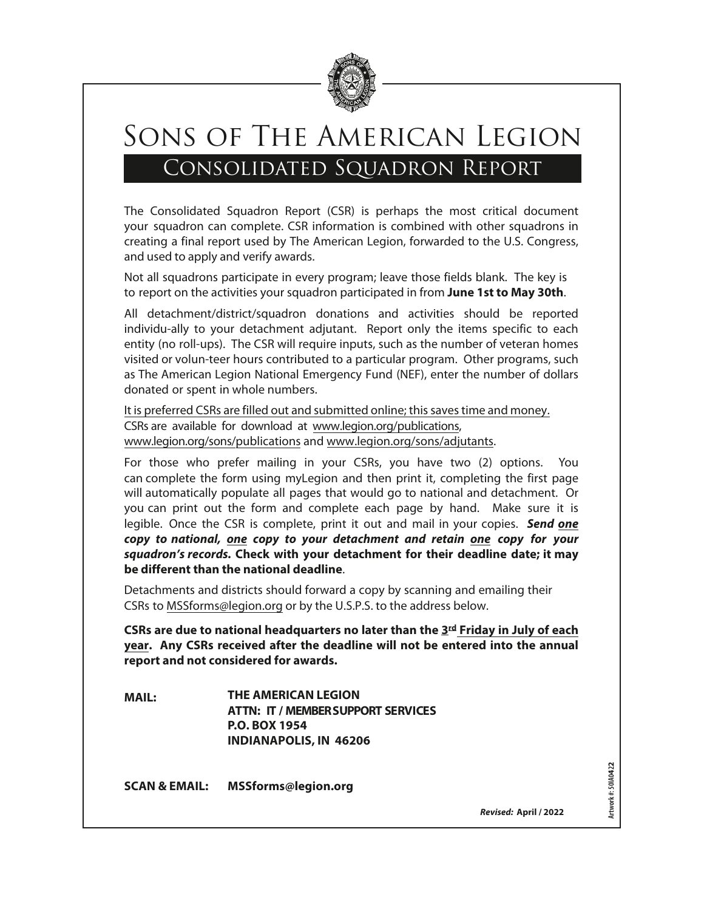

# Sons of The American Legion Consolidated Squadron Report

The Consolidated Squadron Report (CSR) is perhaps the most critical document your squadron can complete. CSR information is combined with other squadrons in creating a final report used by The American Legion, forwarded to the U.S. Congress, and used to apply and verify awards.

Not all squadrons participate in every program; leave those fields blank. The key is to report on the activities your squadron participated in from **June 1st to May 30th**.

All detachment/district/squadron donations and activities should be reported individually to your Cachment "djutant. Report only the items specific to each entity (no roll-ups). The CSR will require inputs, such as the number of veteran homes visited or volun-teer hours contributed to a particular program. Other programs, such as The American Legion National Emergency Fund (NEF), enter the number of dollars donated or spent in whole numbers.

It is preferred CSRs are filled out and submitted onlinePSEWBJUPELEFMET

**\$3SFEWUP%JBINFOU)2OPMBFSUIB&** 

**CSRs are due to National Headquarters no later than the 3rd Friday in July of each year. Any CSRs received after the deadline will not be entered into the annual report and not considered for awards.**

**MAIL: THE AMERICAN LEGION ATT: CHARLIE LAHAISE 1304 PAR, BLVD TROY
NY 12180**

**EMAIL: charlie nylegion.org**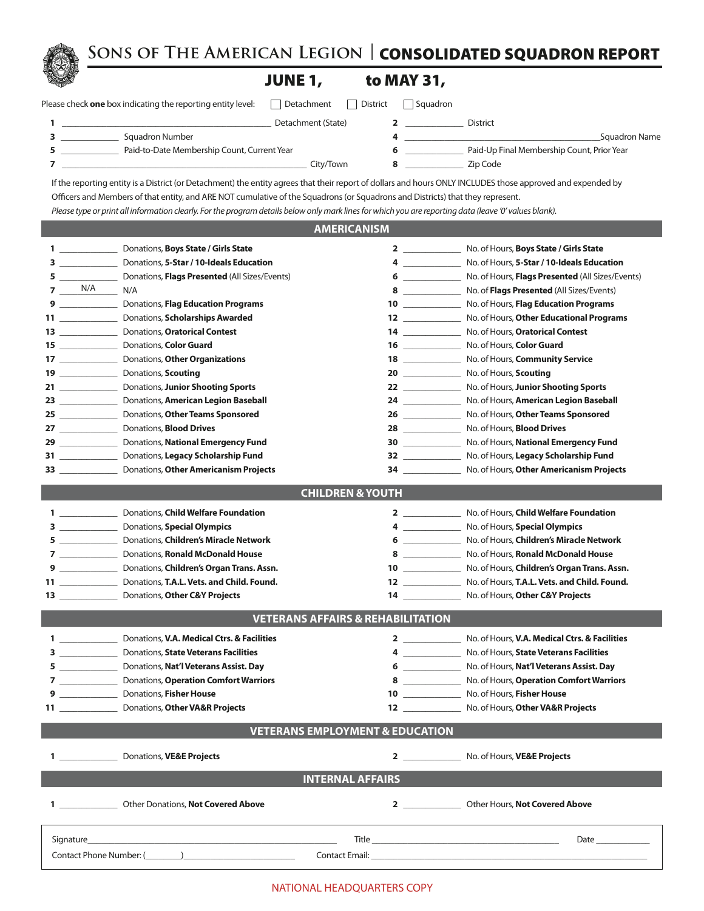**Sons of The American Legion |** CONSOLIDATED SQUADRON REPORT

# **JUNE 1,**

| Please check <b>one</b> box indicating the reporting entity leve |  |  |
|------------------------------------------------------------------|--|--|

| Squadron Number                                                    |                     |          |          | Squadron Name |
|--------------------------------------------------------------------|---------------------|----------|----------|---------------|
|                                                                    | Detachment (State)  |          | District |               |
| Please check <b>one</b> box indicating the reporting entity level: | Detachment District | Squadron |          |               |

- 
- \_\_\_\_\_\_\_\_\_\_\_\_\_ Paid-to-Date Membership Count, Current Year **6** \_\_\_\_\_\_\_\_\_\_\_\_\_ Paid-Up Final Membership Count, Prior Year \_\_\_\_\_\_\_\_\_\_\_\_\_\_\_\_\_\_\_\_\_\_\_\_\_\_\_\_\_\_\_\_\_\_\_\_\_\_\_\_\_\_\_\_\_\_\_\_\_\_\_\_\_\_\_ City/Town **8** \_\_\_\_\_\_\_\_\_\_\_\_\_ Zip Code

If the reporting entity is a District (or Detachment) the entity agrees that their report of dollars and hours ONLY INCLUDES those approved and expended by Officers and Members of that entity, and ARE NOT cumulative of the Squadrons (or Squadrons and Districts) that they represent.

*Please type or print all information clearly. For the program details below only mark lines for which you are reporting data (leave '0' values blank).*

## **AMERICANISM**

|    |                 | 1 _________________________ Donations, Boys State / Girls State                                                                                                                                                                     |                                                                                                                                                                                                                                                                                                                                                                                                      | No. of Hours, Boys State / Girls State                                                                          |
|----|-----------------|-------------------------------------------------------------------------------------------------------------------------------------------------------------------------------------------------------------------------------------|------------------------------------------------------------------------------------------------------------------------------------------------------------------------------------------------------------------------------------------------------------------------------------------------------------------------------------------------------------------------------------------------------|-----------------------------------------------------------------------------------------------------------------|
|    |                 | 3 _________________ Donations, 5-Star / 10-Ideals Education                                                                                                                                                                         | $\overline{4}$                                                                                                                                                                                                                                                                                                                                                                                       | No. of Hours, 5-Star / 10-Ideals Education                                                                      |
|    |                 | 5 ____________________ Donations, Flags Presented (All Sizes/Events)                                                                                                                                                                | $6 \underline{\hspace{1cm}}$                                                                                                                                                                                                                                                                                                                                                                         | No. of Hours, Flags Presented (All Sizes/Events)                                                                |
|    | $7$ $N/A$ $N/A$ |                                                                                                                                                                                                                                     |                                                                                                                                                                                                                                                                                                                                                                                                      | 8 ____________________ No. of Flags Presented (All Sizes/Events)                                                |
|    |                 | 9 ________________ Donations, Flag Education Programs                                                                                                                                                                               |                                                                                                                                                                                                                                                                                                                                                                                                      | 10 ________________ No. of Hours, Flag Education Programs                                                       |
|    |                 | 11 ___________________ Donations, Scholarships Awarded                                                                                                                                                                              |                                                                                                                                                                                                                                                                                                                                                                                                      | 12 ________________ No. of Hours, Other Educational Programs                                                    |
|    |                 |                                                                                                                                                                                                                                     |                                                                                                                                                                                                                                                                                                                                                                                                      | 14 ________________ No. of Hours, Oratorical Contest                                                            |
|    |                 |                                                                                                                                                                                                                                     |                                                                                                                                                                                                                                                                                                                                                                                                      | 16 ___________________ No. of Hours, Color Guard                                                                |
|    |                 | 17 ________________________ Donations, Other Organizations                                                                                                                                                                          |                                                                                                                                                                                                                                                                                                                                                                                                      | 18 ________________ No. of Hours, Community Service                                                             |
|    |                 | 19 _______________________ Donations, Scouting                                                                                                                                                                                      |                                                                                                                                                                                                                                                                                                                                                                                                      | 20 ________________ No. of Hours, Scouting                                                                      |
|    |                 | 21 ____________________ Donations, Junior Shooting Sports                                                                                                                                                                           |                                                                                                                                                                                                                                                                                                                                                                                                      | 22 ________________ No. of Hours, Junior Shooting Sports                                                        |
|    |                 | 23 ___________________ Donations, American Legion Baseball                                                                                                                                                                          |                                                                                                                                                                                                                                                                                                                                                                                                      | 24 ______________ No. of Hours, American Legion Baseball                                                        |
|    |                 | 25 ___________________ Donations, Other Teams Sponsored                                                                                                                                                                             |                                                                                                                                                                                                                                                                                                                                                                                                      | 26 _______________ No. of Hours, Other Teams Sponsored                                                          |
|    |                 |                                                                                                                                                                                                                                     |                                                                                                                                                                                                                                                                                                                                                                                                      | 28 ___________________ No. of Hours, Blood Drives                                                               |
|    |                 | 29 _____________________ Donations, National Emergency Fund                                                                                                                                                                         |                                                                                                                                                                                                                                                                                                                                                                                                      | 30 _______________ No. of Hours, National Emergency Fund                                                        |
|    |                 | 31 ___________________ Donations, Legacy Scholarship Fund                                                                                                                                                                           |                                                                                                                                                                                                                                                                                                                                                                                                      | 32 _______________ No. of Hours, Legacy Scholarship Fund                                                        |
|    |                 | 33 ___________________ Donations, Other Americanism Projects                                                                                                                                                                        |                                                                                                                                                                                                                                                                                                                                                                                                      | 34 No. of Hours, Other Americanism Projects                                                                     |
|    |                 |                                                                                                                                                                                                                                     |                                                                                                                                                                                                                                                                                                                                                                                                      |                                                                                                                 |
|    |                 |                                                                                                                                                                                                                                     | <b>CHILDREN &amp; YOUTH</b>                                                                                                                                                                                                                                                                                                                                                                          |                                                                                                                 |
|    |                 | 1 Donations, Child Welfare Foundation                                                                                                                                                                                               |                                                                                                                                                                                                                                                                                                                                                                                                      | 2 No. of Hours, Child Welfare Foundation                                                                        |
|    |                 | 3 Donations, Special Olympics                                                                                                                                                                                                       |                                                                                                                                                                                                                                                                                                                                                                                                      | 4 No. of Hours, Special Olympics                                                                                |
|    |                 | 5 Donations, Children's Miracle Network                                                                                                                                                                                             |                                                                                                                                                                                                                                                                                                                                                                                                      | 6 No. of Hours, Children's Miracle Network                                                                      |
|    |                 | 7 Donations, Ronald McDonald House                                                                                                                                                                                                  | $8 \sim 1$                                                                                                                                                                                                                                                                                                                                                                                           | No. of Hours, Ronald McDonald House                                                                             |
|    |                 | 9 Donations, Children's Organ Trans. Assn.                                                                                                                                                                                          |                                                                                                                                                                                                                                                                                                                                                                                                      | No. of Hours, Children's Organ Trans. Assn.                                                                     |
|    |                 | 11 Donations, T.A.L. Vets. and Child. Found.                                                                                                                                                                                        | $\overline{\mathbf{12}}$ and $\overline{\mathbf{2}}$ and $\overline{\mathbf{2}}$ and $\overline{\mathbf{2}}$ and $\overline{\mathbf{2}}$ and $\overline{\mathbf{2}}$ and $\overline{\mathbf{2}}$ and $\overline{\mathbf{2}}$ and $\overline{\mathbf{2}}$ and $\overline{\mathbf{2}}$ and $\overline{\mathbf{2}}$ and $\overline{\mathbf{2}}$ and $\overline{\mathbf{2}}$ and $\overline{\mathbf{2}}$ | No. of Hours, T.A.L. Vets. and Child. Found.                                                                    |
|    |                 | 13 Donations, Other C&Y Projects                                                                                                                                                                                                    | $14$ and $\sim$ 14                                                                                                                                                                                                                                                                                                                                                                                   | No. of Hours, Other C&Y Projects                                                                                |
|    |                 |                                                                                                                                                                                                                                     | <b>VETERANS AFFAIRS &amp; REHABILITATION</b>                                                                                                                                                                                                                                                                                                                                                         |                                                                                                                 |
|    |                 |                                                                                                                                                                                                                                     |                                                                                                                                                                                                                                                                                                                                                                                                      |                                                                                                                 |
|    |                 | 1 Donations, V.A. Medical Ctrs. & Facilities                                                                                                                                                                                        |                                                                                                                                                                                                                                                                                                                                                                                                      | 2 No. of Hours, V.A. Medical Ctrs. & Facilities                                                                 |
|    |                 | 3 ________________ Donations, State Veterans Facilities                                                                                                                                                                             |                                                                                                                                                                                                                                                                                                                                                                                                      | 4 _______________ No. of Hours, State Veterans Facilities                                                       |
|    |                 | 5 Donations, Nat'l Veterans Assist. Day                                                                                                                                                                                             |                                                                                                                                                                                                                                                                                                                                                                                                      | 6 ________________ No. of Hours, Nat'l Veterans Assist. Day                                                     |
|    |                 | 7 <b>Donations</b> , <b>Operation Comfort Warriors</b>                                                                                                                                                                              |                                                                                                                                                                                                                                                                                                                                                                                                      | 8 No. of Hours, Operation Comfort Warriors                                                                      |
|    |                 | 9 ____________________ Donations, Fisher House                                                                                                                                                                                      |                                                                                                                                                                                                                                                                                                                                                                                                      | 10 ________________ No. of Hours, Fisher House                                                                  |
|    |                 | 11 ______________________ Donations, Other VA&R Projects                                                                                                                                                                            |                                                                                                                                                                                                                                                                                                                                                                                                      | 12 No. of Hours, Other VA&R Projects                                                                            |
|    |                 |                                                                                                                                                                                                                                     | <b>VETERANS EMPLOYMENT &amp; EDUCATION</b>                                                                                                                                                                                                                                                                                                                                                           |                                                                                                                 |
|    |                 |                                                                                                                                                                                                                                     |                                                                                                                                                                                                                                                                                                                                                                                                      |                                                                                                                 |
| 1. |                 | Donations, VE&E Projects                                                                                                                                                                                                            | $\overline{2}$                                                                                                                                                                                                                                                                                                                                                                                       | No. of Hours, VE&E Projects                                                                                     |
|    |                 |                                                                                                                                                                                                                                     | <b>INTERNAL AFFAIRS</b>                                                                                                                                                                                                                                                                                                                                                                              |                                                                                                                 |
|    |                 | 1 Other Donations, Not Covered Above                                                                                                                                                                                                |                                                                                                                                                                                                                                                                                                                                                                                                      | 2 Other Hours, Not Covered Above                                                                                |
|    |                 |                                                                                                                                                                                                                                     |                                                                                                                                                                                                                                                                                                                                                                                                      |                                                                                                                 |
|    |                 | Signature <b>Signature</b> and the state of the state of the state of the state of the state of the state of the state of the state of the state of the state of the state of the state of the state of the state of the state of t |                                                                                                                                                                                                                                                                                                                                                                                                      | Date and the set of the set of the set of the set of the set of the set of the set of the set of the set of the |
|    |                 | Contact Phone Number: ()                                                                                                                                                                                                            |                                                                                                                                                                                                                                                                                                                                                                                                      | <b>Contact Email:</b> The contract Email:                                                                       |
|    |                 |                                                                                                                                                                                                                                     |                                                                                                                                                                                                                                                                                                                                                                                                      |                                                                                                                 |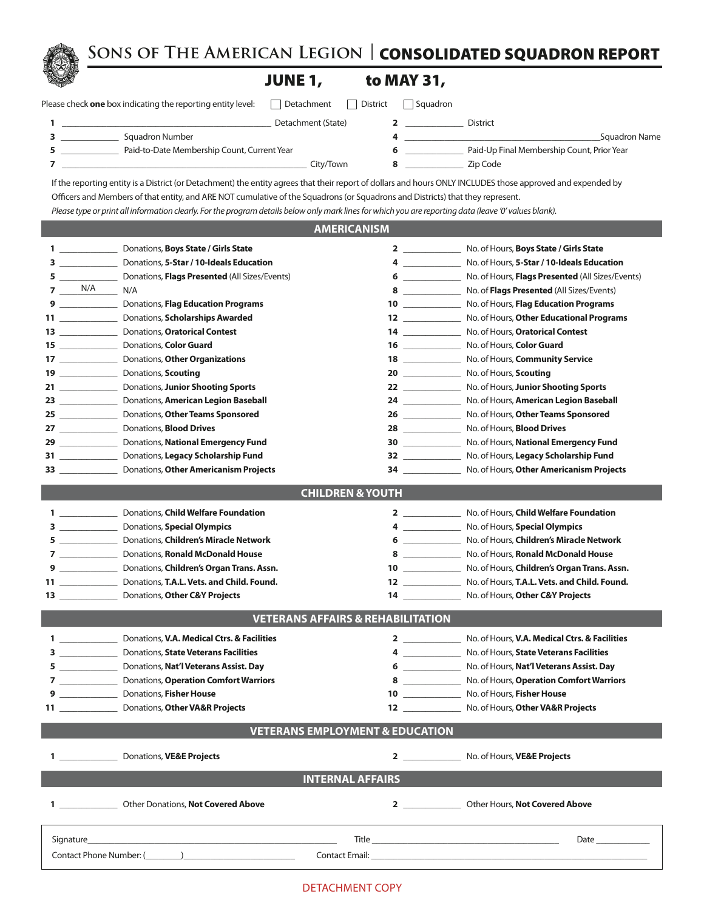**Sons of The American Legion |** CONSOLIDATED SQUADRON REPORT

# JUNE 1,

| Please check <b>one</b> box indicating the reporting entity leve |  |  |  |  |  |  |  |  |  |
|------------------------------------------------------------------|--|--|--|--|--|--|--|--|--|
|------------------------------------------------------------------|--|--|--|--|--|--|--|--|--|

| to MAY 31, |
|------------|
|            |

| Please check <b>one</b> box indicating the reporting entity level: $\Box$ Detachment $\Box$ District $\Box$ Squadron |                    |                 |
|----------------------------------------------------------------------------------------------------------------------|--------------------|-----------------|
|                                                                                                                      | Detachment (State) | <b>District</b> |

|  | --------------------                        | <u>Juuun</u>                               |
|--|---------------------------------------------|--------------------------------------------|
|  | Paid-to-Date Membership Count, Current Year | Paid-Up Final Membership Count, Prior Year |
|  |                                             |                                            |

| Squadron Number                             | Squadron Name                              |
|---------------------------------------------|--------------------------------------------|
| Paid-to-Date Membership Count, Current Year | Paid-Up Final Membership Count, Prior Year |
| Citv/Town                                   | Zip Code                                   |

If the reporting entity is a District (or Detachment) the entity agrees that their report of dollars and hours ONLY INCLUDES those approved and expended by Officers and Members of that entity, and ARE NOT cumulative of the Squadrons (or Squadrons and Districts) that they represent.

*Please type or print all information clearly. For the program details below only mark lines for which you are reporting data (leave '0' values blank).*

## **AMERICANISM**

|              | $1 \qquad \qquad$                                 | Donations, Boys State / Girls State                                                                                                                                                                                           |                                              | No. of Hours, Boys State / Girls State                             |
|--------------|---------------------------------------------------|-------------------------------------------------------------------------------------------------------------------------------------------------------------------------------------------------------------------------------|----------------------------------------------|--------------------------------------------------------------------|
|              | $3 \overline{\phantom{a}}$                        | Donations, 5-Star / 10-Ideals Education                                                                                                                                                                                       | $4 \overline{ }$                             | No. of Hours, 5-Star / 10-Ideals Education                         |
|              |                                                   | Donations, Flags Presented (All Sizes/Events)                                                                                                                                                                                 | $6 \hspace{0.1cm}$                           | No. of Hours, Flags Presented (All Sizes/Events)                   |
|              | $7 - N/A$                                         | N/A                                                                                                                                                                                                                           | $8 \underline{\hspace{1cm}}$                 | No. of Flags Presented (All Sizes/Events)                          |
|              |                                                   | 9 ____________________ Donations, Flag Education Programs                                                                                                                                                                     |                                              | No. of Hours, Flag Education Programs                              |
|              | $\mathbf{11}$ and $\mathbf{12}$ and $\mathbf{13}$ | Donations, Scholarships Awarded                                                                                                                                                                                               |                                              | No. of Hours, Other Educational Programs                           |
|              |                                                   |                                                                                                                                                                                                                               |                                              | No. of Hours, Oratorical Contest                                   |
|              |                                                   |                                                                                                                                                                                                                               | $16 \quad \qquad \qquad$                     | No. of Hours, Color Guard                                          |
|              |                                                   |                                                                                                                                                                                                                               |                                              | No. of Hours, Community Service                                    |
|              |                                                   | 19 _______________________ Donations, Scouting                                                                                                                                                                                |                                              | No. of Hours, Scouting                                             |
|              |                                                   | 21 ____________________ Donations, Junior Shooting Sports                                                                                                                                                                     |                                              | 22 _______________ No. of Hours, Junior Shooting Sports            |
|              |                                                   | 23 __________________ Donations, American Legion Baseball                                                                                                                                                                     |                                              | 24 ________________ No. of Hours, American Legion Baseball         |
|              |                                                   | 25 ______________________ Donations, Other Teams Sponsored                                                                                                                                                                    |                                              | 26 _________________ No. of Hours, Other Teams Sponsored           |
|              |                                                   |                                                                                                                                                                                                                               |                                              | 28 ___________________ No. of Hours, Blood Drives                  |
|              |                                                   | 29 _________________ Donations, National Emergency Fund                                                                                                                                                                       |                                              | 30 _______________ No. of Hours, National Emergency Fund           |
|              |                                                   | 31 ____________________ Donations, Legacy Scholarship Fund                                                                                                                                                                    |                                              | No. of Hours, Legacy Scholarship Fund                              |
|              |                                                   | 33 ___________________ Donations, Other Americanism Projects                                                                                                                                                                  | 34                                           | No. of Hours, Other Americanism Projects                           |
|              |                                                   |                                                                                                                                                                                                                               |                                              |                                                                    |
|              |                                                   |                                                                                                                                                                                                                               | <b>CHILDREN &amp; YOUTH</b>                  |                                                                    |
|              |                                                   | <b>1</b> Donations, <b>Child Welfare Foundation</b>                                                                                                                                                                           |                                              | 2 _______________ No. of Hours, Child Welfare Foundation           |
|              |                                                   | 3 Donations, Special Olympics                                                                                                                                                                                                 |                                              | 4 No. of Hours, Special Olympics                                   |
|              |                                                   | 5 _________________ Donations, Children's Miracle Network                                                                                                                                                                     |                                              | 6 ________________ No. of Hours, Children's Miracle Network        |
|              |                                                   | 7 ____________________ Donations, Ronald McDonald House                                                                                                                                                                       |                                              | 8 ________________ No. of Hours, Ronald McDonald House             |
|              |                                                   | 9 __________________ Donations, Children's Organ Trans. Assn.                                                                                                                                                                 |                                              | 10 ___________________ No. of Hours, Children's Organ Trans. Assn. |
|              |                                                   | 11 Donations, T.A.L. Vets. and Child. Found.                                                                                                                                                                                  |                                              | 12 ________________ No. of Hours, T.A.L. Vets. and Child. Found.   |
|              |                                                   |                                                                                                                                                                                                                               |                                              | 14 ___________________ No. of Hours, Other C&Y Projects            |
|              |                                                   |                                                                                                                                                                                                                               |                                              |                                                                    |
|              |                                                   |                                                                                                                                                                                                                               | <b>VETERANS AFFAIRS &amp; REHABILITATION</b> |                                                                    |
|              |                                                   | 1 Donations, V.A. Medical Ctrs. & Facilities                                                                                                                                                                                  |                                              | 2 No. of Hours, V.A. Medical Ctrs. & Facilities                    |
|              |                                                   | 3 ___________________ Donations, State Veterans Facilities                                                                                                                                                                    |                                              | 4 No. of Hours, State Veterans Facilities                          |
|              |                                                   | 5 Donations, Nat'l Veterans Assist. Day                                                                                                                                                                                       |                                              | 6 No. of Hours, Nat'l Veterans Assist. Day                         |
|              |                                                   | 7 <b>Donations</b> , <b>Operation Comfort Warriors</b>                                                                                                                                                                        | $8\overline{3}$                              | No. of Hours, Operation Comfort Warriors                           |
|              |                                                   | 9 <b>Donations</b> , Fisher House                                                                                                                                                                                             |                                              | No. of Hours, Fisher House                                         |
|              |                                                   |                                                                                                                                                                                                                               |                                              | 12 No. of Hours, Other VA&R Projects                               |
|              |                                                   |                                                                                                                                                                                                                               | <b>VETERANS EMPLOYMENT &amp; EDUCATION</b>   |                                                                    |
|              |                                                   |                                                                                                                                                                                                                               |                                              |                                                                    |
| $\mathbf{1}$ |                                                   | _ Donations, VE&E Projects                                                                                                                                                                                                    |                                              | No. of Hours, <b>VE&amp;E Projects</b>                             |
|              |                                                   |                                                                                                                                                                                                                               | <b>INTERNAL AFFAIRS</b>                      |                                                                    |
|              |                                                   |                                                                                                                                                                                                                               |                                              |                                                                    |
|              |                                                   | 1 Other Donations, Not Covered Above                                                                                                                                                                                          |                                              | 2 Other Hours, Not Covered Above                                   |
|              |                                                   |                                                                                                                                                                                                                               |                                              |                                                                    |
|              |                                                   | Signature and the state of the state of the state of the state of the state of the state of the state of the state of the state of the state of the state of the state of the state of the state of the state of the state of |                                              | Date $\qquad$                                                      |
|              |                                                   | Contact Phone Number: (2008)                                                                                                                                                                                                  |                                              |                                                                    |
|              |                                                   |                                                                                                                                                                                                                               |                                              |                                                                    |